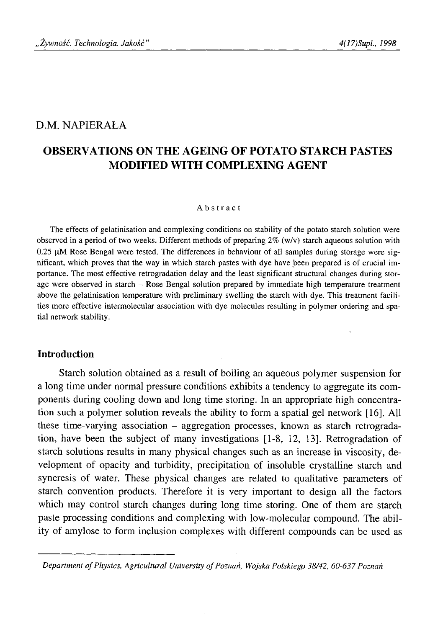# D.M. NAPIERAŁA

# **OBSERVATIONS ON THE AGEING OF POTATO STARCH PASTES MODIFIED WITH COMPLEXING AGENT**

### Abstract

The effects of gelatinisation and complexing conditions on stability of the potato starch solution were observed in a period of two weeks. Different methods of preparing *2%* (w/v) starch aqueous solution with 0.25 μΜ Rose Bengal were tested. The differences in behaviour of all samples during storage were significant, which proves that the way in which starch pastes with dye have been prepared is of crucial importance. The most effective retrogradation delay and the least significant structural changes during storage were observed in starch - Rose Bengal solution prepared by immediate high temperature treatment above the gelatinisation temperature with preliminary swelling the starch with dye. This treatment facilities more effective intermolecular association with dye molecules resulting in polymer ordering and spatial network stability.

## **Introduction**

Starch solution obtained as a result of boiling an aqueous polymer suspension for a long time under normal pressure conditions exhibits a tendency to aggregate its components during cooling down and long time storing. In an appropriate high concentration such a polymer solution reveals the ability to form a spatial gel network [16]. All these time-varying association - aggregation processes, known as starch retrogradation, have been the subject of many investigations [1-8, 12, 13]. Retrogradation of starch solutions results in many physical changes such as an increase in viscosity, development of opacity and turbidity, precipitation of insoluble crystalline starch and syneresis of water. These physical changes are related to qualitative parameters of starch convention products. Therefore it is very important to design all the factors which may control starch changes during long time storing. One of them are starch paste processing conditions and complexing with low-molecular compound. The ability of amylose to form inclusion complexes with different compounds can be used as

*Department of Physics, Agricultural University of Poznań, Wojska Polskiego 38/42, 60-637 Poznań*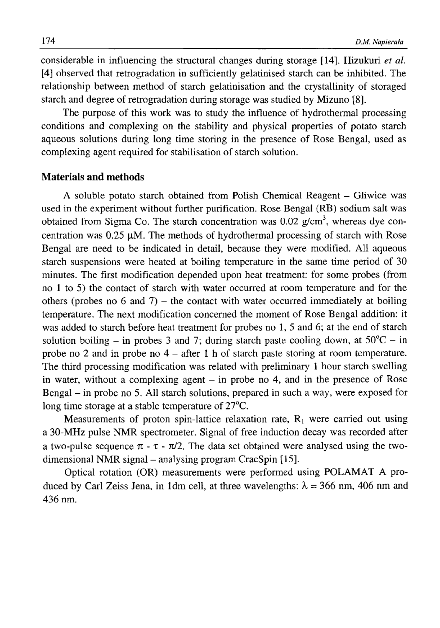considerable in influencing the structural changes during storage [14]. Hizukuri *et al.* [4] observed that retrogradation in sufficiently gelatinised starch can be inhibited. The relationship between method of starch gelatinisation and the crystallinity of storaged starch and degree of retrogradation during storage was studied by Mizuno [8].

The purpose of this work was to study the influence of hydrothermal processing conditions and complexing on the stability and physical properties of potato starch aqueous solutions during long time storing in the presence of Rose Bengal, used as complexing agent required for stabilisation of starch solution.

### **Materials and methods**

A soluble potato starch obtained from Polish Chemical Reagent – Gliwice was used in the experiment without further purification. Rose Bengal (RB) sodium salt was obtained from Sigma Co. The starch concentration was  $0.02$  g/cm<sup>3</sup>, whereas dye concentration was 0.25 μΜ. The methods of hydrothermal processing of starch with Rose Bengal are need to be indicated in detail, because they were modified. All aqueous starch suspensions were heated at boiling temperature in the same time period of 30 minutes. The first modification depended upon heat treatment: for some probes (from no 1 to 5) the contact of starch with water occurred at room temperature and for the others (probes no 6 and 7) – the contact with water occurred immediately at boiling temperature. The next modification concerned the moment of Rose Bengal addition: it was added to starch before heat treatment for probes no 1, 5 and 6; at the end of starch solution boiling – in probes 3 and 7; during starch paste cooling down, at  $50^{\circ}C - in$ probe no 2 and in probe no 4 - after 1 h of starch paste storing at room temperature. The third processing modification was related with preliminary 1 hour starch swelling in water, without a complexing agent  $-$  in probe no 4, and in the presence of Rose Bengal – in probe no 5. All starch solutions, prepared in such a way, were exposed for long time storage at a stable temperature of 27<sup>o</sup>C.

Measurements of proton spin-lattice relaxation rate,  $R_1$  were carried out using a 30-MHz pulse NMR spectrometer. Signal of free induction decay was recorded after a two-pulse sequence  $\pi - \tau - \frac{\pi}{2}$ . The data set obtained were analysed using the twodimensional NMR signal – analysing program CracSpin [15].

Optical rotation (OR) measurements were performed using POLAMAT A produced by Carl Zeiss Jena, in 1dm cell, at three wavelengths:  $\lambda = 366$  nm, 406 nm and 436 nm.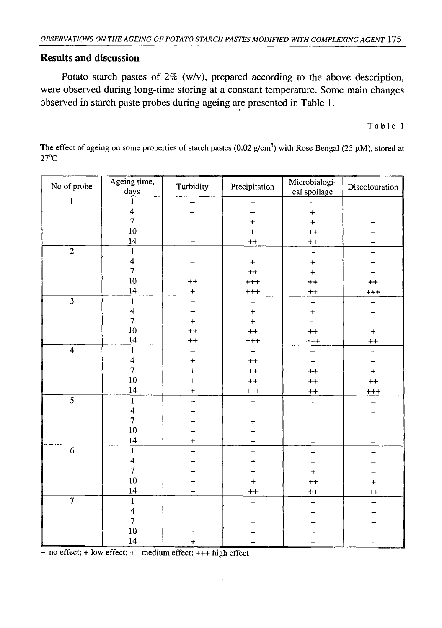## **Results and discussion**

Potato starch pastes of *2%* (w/v), prepared according to the above description, were observed during long-time storing at a constant temperature. Some main changes observed in starch paste probes during ageing are presented in Table 1.

Table 1

No of probe  $\overline{\qquad \qquad \text{Ageing time,}}$ Turbidity Precipitation Microbialogivilcropialogi-<br>cal spoilage | Discolouration 1 1  $\overline{\phantom{a}}$ - -  $\frac{4}{7}$ +  $\overline{a}$  $\overline{a}$ 7 | - | + | + | -10 | - | + | ++ | - $\frac{14}{14}$  - ++ + + ++ 2 | 1 | - | - | - | -4 | - | + | + | -7 | - | ++ | + | -10 | ++ | +++ | ++ | ++ 14 + +++ ++ +++  $3 \mid 1 \mid - \mid - \mid - \mid - \mid - \mid - \mid - \mid$ 4 | - | + | + | -7 | + | + | + | -10 | ++ | ++ | ++ | + 14 ++ +++ +++ ++ 4 | 1 | - | - | - | -4 | + | ++ | + | -7 + + + + + + + + 10 | + | ++ | ++ | ++ 14 + +++ ++ +++ 5 1 - - - - *A*  $\overline{a}$ L.  $\overline{\phantom{0}}$ *1*  $\left[$   $\left[$   $+$   $\right]$   $\left[$   $-$ 10 | - | + | - | -14 | + | + | - | -6 | 1 | - | - | - | -4 | - | + | - | -7 | - | + | + | -10 | - | + | ++ | + 14 - ++ ++ ++  $7 \quad | \quad 1 \quad | \quad - \quad | \quad - \quad | \quad - \quad | \quad - \quad | \quad - \quad | \quad - \quad |$ 4 | – | – | – | – /  $10$   $\rightarrow$  $\overline{\phantom{0}}$ 14 + - - - - - - - - - -

The effect of ageing on some properties of starch pastes  $(0.02 \text{ g/cm}^3)$  with Rose Bengal (25 μM), stored at 27°C

 $-$  no effect;  $+$  low effect;  $++$  medium effect;  $++$  high effect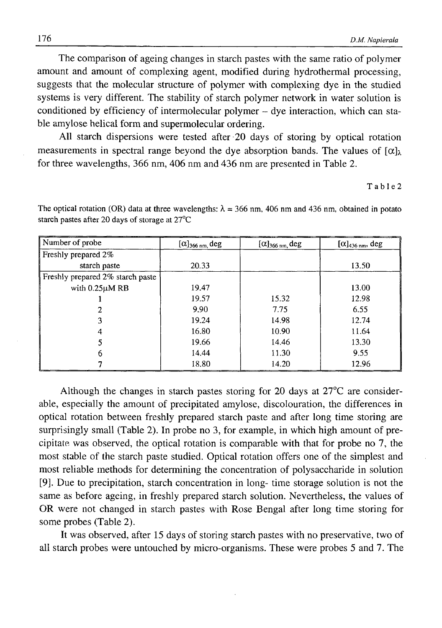The comparison of ageing changes in starch pastes with the same ratio of polymer amount and amount of complexing agent, modified during hydrothermal processing, suggests that the molecular structure of polymer with complexing dye in the studied systems is very different. The stability of starch polymer network in water solution is conditioned by efficiency of intermolecular polymer - dye interaction, which can stable amylose helical form and supermolecular ordering.

All starch dispersions were tested after 20 days of storing by optical rotation measurements in spectral range beyond the dye absorption bands. The values of *[α]χ* for three wavelengths, 366 nm, 406 nm and 436 nm are presented in Table 2.

#### T a b 1 e 2

| Number of probe                  | $[\alpha]_{366 \text{ nm}}$ , deg<br>$[\alpha]_{366 \text{ nm}}$ , deg |       | $[\alpha]$ <sub>436 nm</sub> , deg |  |
|----------------------------------|------------------------------------------------------------------------|-------|------------------------------------|--|
| Freshly prepared 2%              |                                                                        |       |                                    |  |
| starch paste                     | 20.33                                                                  |       | 13.50                              |  |
| Freshly prepared 2% starch paste |                                                                        |       |                                    |  |
| with $0.25\mu$ M RB              | 19.47                                                                  |       | 13.00                              |  |
|                                  | 19.57                                                                  | 15.32 | 12.98                              |  |
|                                  | 9.90                                                                   | 7.75  | 6.55                               |  |
| 3                                | 19.24                                                                  | 14.98 | 12.74                              |  |
| 4                                | 16.80                                                                  | 10.90 | 11.64                              |  |
|                                  | 19.66                                                                  | 14.46 | 13.30                              |  |
| 6                                | 14.44                                                                  | 11.30 | 9.55                               |  |
|                                  | 18.80                                                                  | 14.20 | 12.96                              |  |

The optical rotation (OR) data at three wavelengths:  $\lambda = 366$  nm, 406 nm and 436 nm, obtained in potato starch pastes after 20 days of storage at 27°C

Although the changes in starch pastes storing for 20 days at  $27^{\circ}$ C are considerable, especially the amount of precipitated amylose, discolouration, the differences in optical rotation between freshly prepared starch paste and after long time storing are surprisingly small (Table 2). In probe no 3, for example, in which high amount of precipitate was observed, the optical rotation is comparable with that for probe no 7, the most stable of the starch paste studied. Optical rotation offers one of the simplest and most reliable methods for determining the concentration of polysaccharide in solution [9]. Due to precipitation, starch concentration in long- time storage solution is not the same as before ageing, in freshly prepared starch solution. Nevertheless, the values of OR were not changed in starch pastes with Rose Bengal after long time storing for some probes (Table 2).

It was observed, after 15 days of storing starch pastes with no preservative, two of all starch probes were untouched by micro-organisms. These were probes 5 and 7. The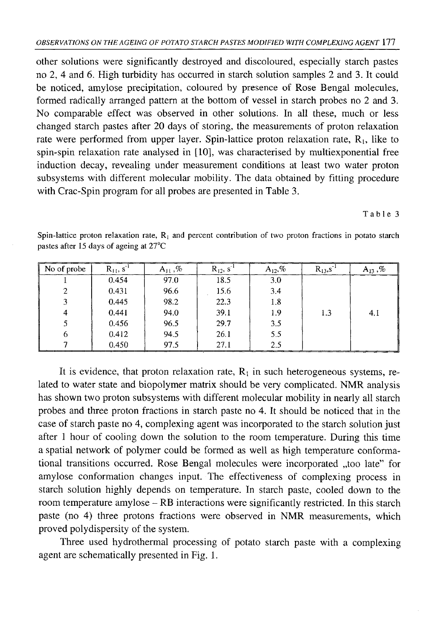other solutions were significantly destroyed and discoloured, especially starch pastes no 2, 4 and 6. High turbidity has occurred in starch solution samples 2 and 3. It could be noticed, amylose precipitation, coloured by presence of Rose Bengal molecules, formed radically arranged pattern at the bottom of vessel in starch probes no 2 and 3. No comparable effect was observed in other solutions. In all these, much or less changed starch pastes after 20 days of storing, the measurements of proton relaxation rate were performed from upper layer. Spin-lattice proton relaxation rate,  $R_1$ , like to spin-spin relaxation rate analysed in [10], was characterised by multiexponential free induction decay, revealing under measurement conditions at least two water proton subsystems with different molecular mobility. The data obtained by fitting procedure with Crac-Spin program for all probes are presented in Table 3.

Table 3

| No of probe   | $R_{11}$ , $S^{-1}$ | $A_{11}$ ,% | $R_{12}$ , s <sup>-1</sup> | $A_{12}$ ,% | $R_{13}$ , s <sup>-1</sup> | $A_{13}$ ,% |
|---------------|---------------------|-------------|----------------------------|-------------|----------------------------|-------------|
|               | 0.454               | 97.0        | 18.5                       | 3.0         |                            |             |
| $\mathcal{D}$ | 0.431               | 96.6        | 15.6                       | 3,4         |                            |             |
| 3             | 0.445               | 98.2        | 22.3                       | 1.8         |                            |             |
| 4             | 0.441               | 94.0        | 39.1                       | 1.9         | 1.3                        | 4.1         |
|               | 0.456               | 96.5        | 29.7                       | 3.5         |                            |             |
| 6             | 0.412               | 94.5        | 26.1                       | 5.5         |                            |             |
|               | 0.450               | 97.5        | 27.1                       | 2.5         |                            |             |

Spin-lattice proton relaxation rate,  $R_1$  and percent contribution of two proton fractions in potato starch pastes after 15 days of ageing at 27°C

It is evidence, that proton relaxation rate,  $R_1$  in such heterogeneous systems, related to water state and biopolymer matrix should be very complicated. NMR analysis has shown two proton subsystems with different molecular mobility in nearly all starch probes and three proton fractions in starch paste no 4. It should be noticed that in the case of starch paste no 4, complexing agent was incorporated to the starch solution just after 1 hour of cooling down the solution to the room temperature. During this time a spatial network of polymer could be formed as well as high temperature conformational transitions occurred. Rose Bengal molecules were incorporated "too late" for amylose conformation changes input. The effectiveness of complexing process in starch solution highly depends on temperature. In starch paste, cooled down to the room temperature amylose - RB interactions were significantly restricted. In this starch paste (no 4) three protons fractions were observed in NMR measurements, which proved polydispersity of the system.

Three used hydrothermal processing of potato starch paste with a complexing agent are schematically presented in Fig. 1.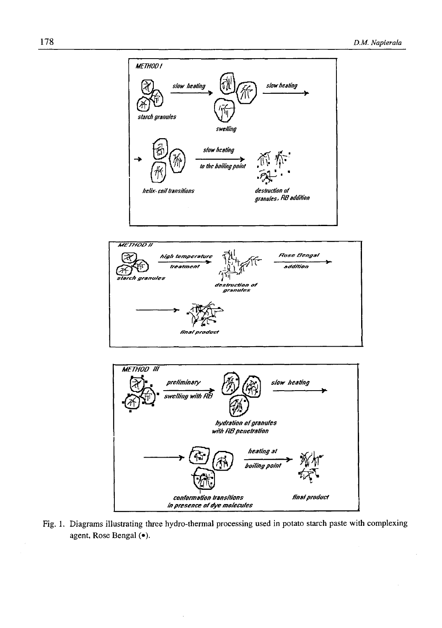





Fig. 1. Diagrams illustrating three hydro-thermal processing used in potato starch paste with complexing agent, Rose Bengal (·).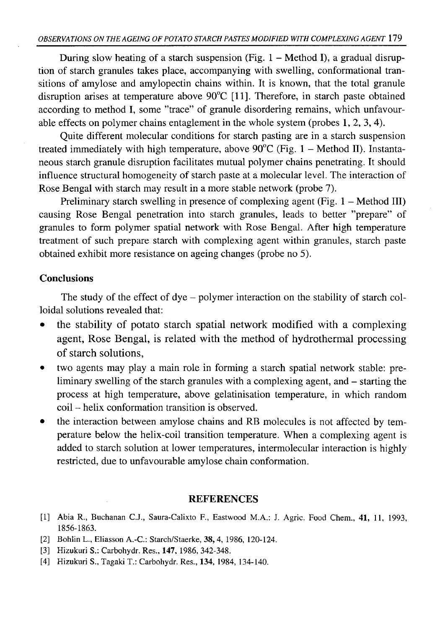During slow heating of a starch suspension (Fig.  $1 -$  Method I), a gradual disruption of starch granules takes place, accompanying with swelling, conformational transitions of amylose and amylopectin chains within. It is known, that the total granule disruption arises at temperature above 90°C [11]. Therefore, in starch paste obtained according to method I, some ''trace" of granule disordering remains, which unfavourable effects on polymer chains entaglement in the whole system (probes 1, 2, 3, 4).

Quite different molecular conditions for starch pasting are in a starch suspension treated immediately with high temperature, above  $90^{\circ}$ C (Fig. 1 – Method II). Instantaneous starch granule disruption facilitates mutual polymer chains penetrating. It should influence structural homogeneity of starch paste at a molecular level. The interaction of Rose Bengal with starch may result in a more stable network (probe 7).

Preliminary starch swelling in presence of complexing agent (Fig.  $1 -$ Method III) causing Rose Bengal penetration into starch granules, leads to better ''prepare" of granules to form polymer spatial network with Rose Bengal. After high temperature treatment of such prepare starch with complexing agent within granules, starch paste obtained exhibit more resistance on ageing changes (probe no 5).

## **Conclusions**

The study of the effect of dye - polymer interaction on the stability of starch colloidal solutions revealed that:

- $\bullet$  the stability of potato starch spatial network modified with a complexing agent, Rose Bengal, is related with the method of hydrothermal processing of starch solutions,
- two agents may play a main role in forming a starch spatial network stable: preliminary swelling of the starch granules with a complexing agent, and – starting the process at high temperature, above gelatinisation temperature, in which random coil - helix conformation transition is observed.
- the interaction between amylose chains and RB molecules is not affected by temperature below the helix-coil transition temperature. When a complexing agent is added to starch solution at lower temperatures, intermolecular interaction is highly restricted, due to unfavourable amylose chain conformation.

### **REFERENCES**

- [1] Abia R., Buchanan C.J., Saura-Calixto F., Eastwood M.A.: J. Agric. Food Chem., 41, 11, 1993, 1856-1863.
- [2] Bohlin L., Eliasson A.-C.: Starch/Staerke, **38,** 4, 1986, 120-124.
- [3] Hizukuri S.: Carbohydr. Res., 147, 1986, 342-348.
- [4] Hizukuri S., Tagaki T.: Carbohydr. Res., 134, 1984, 134-140.